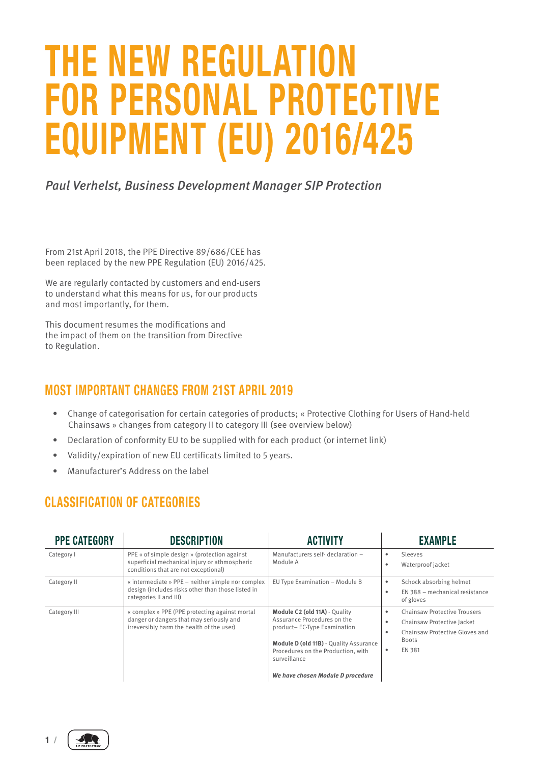## **THE NEW REGULATION FOR PERSONAL PROTECTIVE EQUIPMENT (EU) 2016/425**

*Paul Verhelst, Business Development Manager SIP Protection*

From 21st April 2018, the PPE Directive 89/686/CEE has been replaced by the new PPE Regulation (EU) 2016/425.

We are regularly contacted by customers and end-users to understand what this means for us, for our products and most importantly, for them.

This document resumes the modifications and the impact of them on the transition from Directive to Regulation.

## **MOST IMPORTANT CHANGES FROM 21ST APRIL 2019**

- Change of categorisation for certain categories of products; « Protective Clothing for Users of Hand-held Chainsaws » changes from category II to category III (see overview below)
- Declaration of conformity EU to be supplied with for each product (or internet link)
- Validity/expiration of new EU certificats limited to 5 years.
- Manufacturer's Address on the label

## **CLASSIFICATION OF CATEGORIES**

| <b>PPE CATEGORY</b> | <b>DESCRIPTION</b>                                                                                                                      | <b>ACTIVITY</b>                                                                                                                                                                                                                         | <b>EXAMPLE</b>                                                                                                                |
|---------------------|-----------------------------------------------------------------------------------------------------------------------------------------|-----------------------------------------------------------------------------------------------------------------------------------------------------------------------------------------------------------------------------------------|-------------------------------------------------------------------------------------------------------------------------------|
| Category I          | PPE « of simple design » (protection against<br>superficial mechanical injury or athmospheric<br>conditions that are not exceptional)   | Manufacturers self- declaration -<br>Module A                                                                                                                                                                                           | Sleeves<br>Waterproof jacket                                                                                                  |
| Category II         | « intermediate » PPE – neither simple nor complex<br>design (includes risks other than those listed in<br>categories II and III)        | EU Type Examination - Module B                                                                                                                                                                                                          | Schock absorbing helmet<br>EN 388 - mechanical resistance<br>of gloves                                                        |
| Category III        | « complex » PPE (PPE protecting against mortal<br>danger or dangers that may seriously and<br>irreversibly harm the health of the user) | Module C2 (old 11A) - Quality<br>Assurance Procedures on the<br>product-EC-Type Examination<br><b>Module D (old 11B)</b> - Quality Assurance<br>Procedures on the Production, with<br>surveillance<br>We have chosen Module D procedure | <b>Chainsaw Protective Trousers</b><br>Chainsaw Protective Jacket<br>Chainsaw Protective Gloves and<br><b>Boots</b><br>EN 381 |

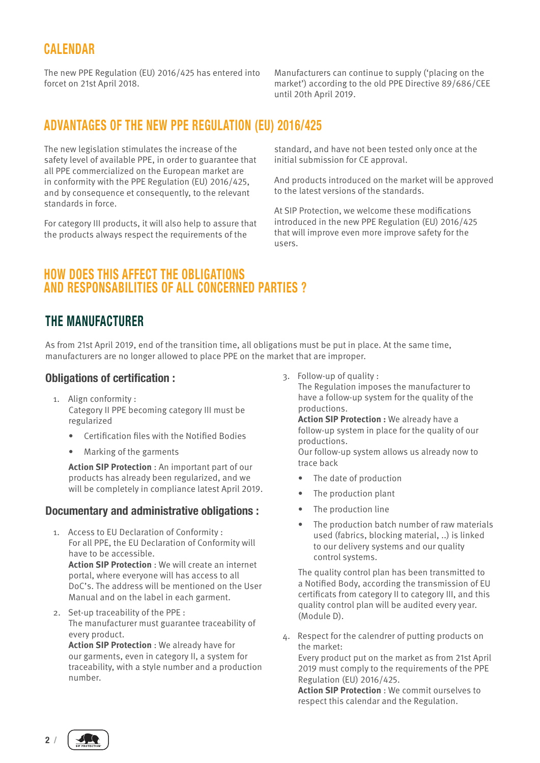## **CALENDAR**

The new PPE Regulation (EU) 2016/425 has entered into forcet on 21st April 2018.

Manufacturers can continue to supply ('placing on the market') according to the old PPE Directive 89/686/CEE until 20th April 2019.

## **ADVANTAGES OF THE NEW PPE REGULATION (EU) 2016/425**

The new legislation stimulates the increase of the safety level of available PPE, in order to guarantee that all PPE commercialized on the European market are in conformity with the PPE Regulation (EU) 2016/425, and by consequence et consequently, to the relevant standards in force.

For category III products, it will also help to assure that the products always respect the requirements of the

standard, and have not been tested only once at the initial submission for CE approval.

And products introduced on the market will be approved to the latest versions of the standards.

At SIP Protection, we welcome these modifications introduced in the new PPE Regulation (EU) 2016/425 that will improve even more improve safety for the users.

### **HOW DOES THIS AFFECT THE OBLIGATIONS AND RESPONSABILITIES OF ALL CONCERNED PARTIES ?**

## **THE MANUFACTURER**

As from 21st April 2019, end of the transition time, all obligations must be put in place. At the same time, manufacturers are no longer allowed to place PPE on the market that are improper.

#### **Obligations of certification :**

- 1. Align conformity : Category II PPE becoming category III must be regularized
	- Certification files with the Notified Bodies
	- Marking of the garments

**Action SIP Protection** : An important part of our products has already been regularized, and we will be completely in compliance latest April 2019.

#### **Documentary and administrative obligations :**

- 1. Access to EU Declaration of Conformity : For all PPE, the EU Declaration of Conformity will have to be accessible. **Action SIP Protection** : We will create an internet portal, where everyone will has access to all DoC's. The address will be mentioned on the User Manual and on the label in each garment.
- 2. Set-up traceability of the PPE : The manufacturer must guarantee traceability of every product.

**Action SIP Protection** : We already have for our garments, even in category II, a system for traceability, with a style number and a production number.

3. Follow-up of quality :

The Regulation imposes the manufacturer to have a follow-up system for the quality of the productions.

**Action SIP Protection :** We already have a follow-up system in place for the quality of our productions.

Our follow-up system allows us already now to trace back

- The date of production
- The production plant
- The production line
- The production batch number of raw materials used (fabrics, blocking material, ..) is linked to our delivery systems and our quality control systems.

The quality control plan has been transmitted to a Notified Body, according the transmission of EU certificats from category II to category III, and this quality control plan will be audited every year. (Module D).

4. Respect for the calendrer of putting products on the market: Every product put on the market as from 21st April 2019 must comply to the requirements of the PPE Regulation (EU) 2016/425.

**Action SIP Protection** : We commit ourselves to respect this calendar and the Regulation.

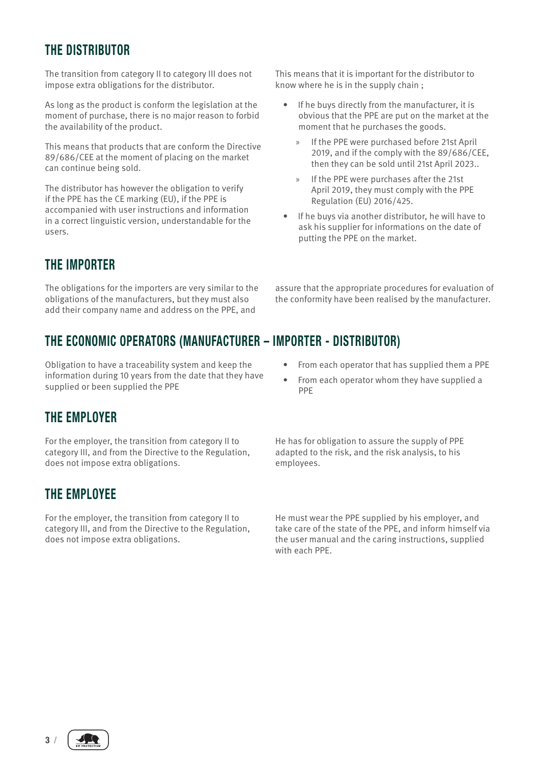## **THE DISTRIBUTOR**

The transition from category II to category III does not impose extra obligations for the distributor.

As long as the product is conform the legislation at the moment of purchase, there is no major reason to forbid the availability of the product.

This means that products that are conform the Directive 89/686/CEE at the moment of placing on the market can continue being sold.

The distributor has however the obligation to verify if the PPE has the CE marking (EU), if the PPE is accompanied with user instructions and information in a correct linguistic version, understandable for the users.

## **THE IMPORTER**

The obligations for the importers are very similar to the obligations of the manufacturers, but they must also add their company name and address on the PPE, and

## **THE ECONOMIC OPERATORS (MANUFACTURER – IMPORTER - DISTRIBUTOR)**

Obligation to have a traceability system and keep the information during 10 years from the date that they have supplied or been supplied the PPE

## **THE EMPLOYER**

For the employer, the transition from category II to category III, and from the Directive to the Regulation, does not impose extra obligations.

## **THE EMPLOYEE**

For the employer, the transition from category II to category III, and from the Directive to the Regulation, does not impose extra obligations.

This means that it is important for the distributor to know where he is in the supply chain ;

- If he buys directly from the manufacturer, it is obvious that the PPE are put on the market at the moment that he purchases the goods.
	- If the PPE were purchased before 21st April 2019, and if the comply with the 89/686/CEE, then they can be sold until 21st April 2023..
	- » If the PPE were purchases after the 21st April 2019, they must comply with the PPE Regulation (EU) 2016/425.
- If he buys via another distributor, he will have to ask his supplier for informations on the date of putting the PPE on the market.

assure that the appropriate procedures for evaluation of the conformity have been realised by the manufacturer.

- From each operator that has supplied them a PPE
- From each operator whom they have supplied a PPE

He has for obligation to assure the supply of PPE adapted to the risk, and the risk analysis, to his employees.

He must wear the PPE supplied by his employer, and take care of the state of the PPE, and inform himself via the user manual and the caring instructions, supplied with each PPE.